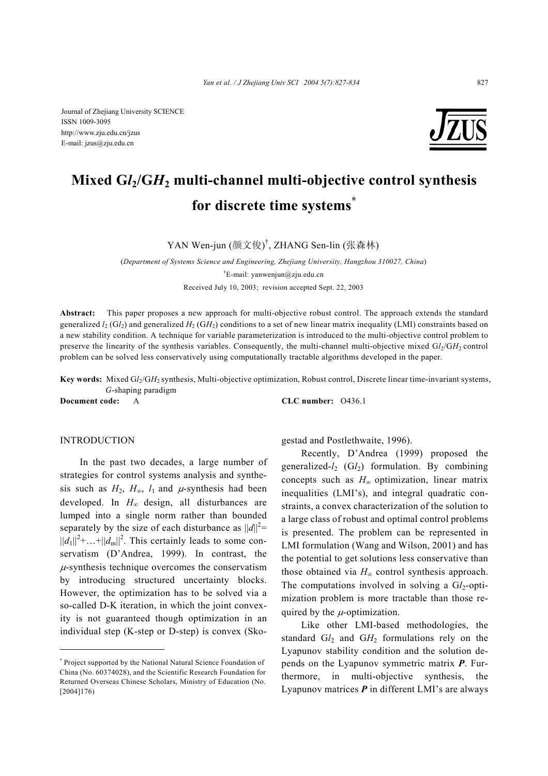

# **Mixed G***l***2/G***H***2 multi-channel multi-objective control synthesis for discrete time systems\***

YAN Wen-jun (颜文俊) † , ZHANG Sen-lin (张森林)

(*Department of Systems Science and Engineering, Zhejiang University, Hangzhou 310027, China*) † E-mail: yanwenjun@zju.edu.cn Received July 10, 2003; revision accepted Sept. 22, 2003

**Abstract:** This paper proposes a new approach for multi-objective robust control. The approach extends the standard generalized  $l_2(G_l)$  and generalized  $H_2(G_l)$  conditions to a set of new linear matrix inequality (LMI) constraints based on a new stability condition. A technique for variable parameterization is introduced to the multi-objective control problem to preserve the linearity of the synthesis variables. Consequently, the multi-channel multi-objective mixed G*l*<sub>2</sub>/G*H*<sub>2</sub> control problem can be solved less conservatively using computationally tractable algorithms developed in the paper.

**Key words:** Mixed G*l*2/G*H*2 synthesis, Multi-objective optimization, Robust control, Discrete linear time-invariant systems, *G*-shaping paradigm

**Document code:** A **CLC number:** O436.1

## **INTRODUCTION**

In the past two decades, a large number of strategies for control systems analysis and synthesis such as  $H_2$ ,  $H_{\infty}$ ,  $l_1$  and  $\mu$ -synthesis had been developed. In *H*<sup>∞</sup> design, all disturbances are lumped into a single norm rather than bounded separately by the size of each disturbance as  $||d||^2 =$  $||d_1||^2$ +...+ $||d_m||^2$ . This certainly leads to some conservatism (D'Andrea, 1999). In contrast, the  $\mu$ -synthesis technique overcomes the conservatism by introducing structured uncertainty blocks. However, the optimization has to be solved via a so-called D-K iteration, in which the joint convexity is not guaranteed though optimization in an individual step (K-step or D-step) is convex (Skogestad and Postlethwaite, 1996).

Recently, D'Andrea (1999) proposed the generalized-*l*2 (G*l*2) formulation. By combining concepts such as *H*<sup>∞</sup> optimization, linear matrix inequalities (LMI's), and integral quadratic constraints, a convex characterization of the solution to a large class of robust and optimal control problems is presented. The problem can be represented in LMI formulation (Wang and Wilson, 2001) and has the potential to get solutions less conservative than those obtained via  $H_{\infty}$  control synthesis approach. The computations involved in solving a  $Gl<sub>2</sub>$ -optimization problem is more tractable than those required by the  $\mu$ -optimization.

Like other LMI-based methodologies, the standard Gl<sub>2</sub> and GH<sub>2</sub> formulations rely on the Lyapunov stability condition and the solution depends on the Lyapunov symmetric matrix *P*. Furthermore, in multi-objective synthesis, the Lyapunov matrices *P* in different LMI's are always

<sup>\*</sup> Project supported by the National Natural Science Foundation of China (No. 60374028), and the Scientific Research Foundation for Returned Overseas Chinese Scholars, Ministry of Education (No. [2004]176)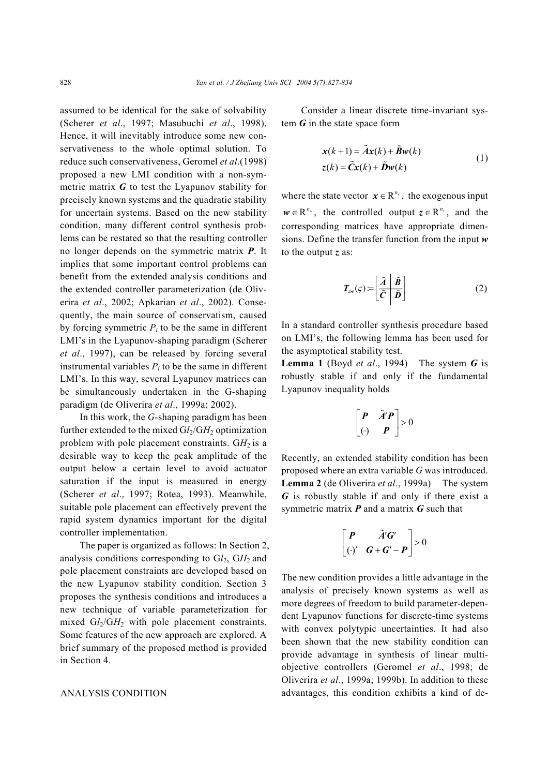assumed to be identical for the sake of solvability (Scherer *et al*., 1997; Masubuchi *et al*., 1998). Hence, it will inevitably introduce some new conservativeness to the whole optimal solution. To reduce such conservativeness, Geromel *et al*.(1998) proposed a new LMI condition with a non-symmetric matrix *G* to test the Lyapunov stability for precisely known systems and the quadratic stability for uncertain systems. Based on the new stability condition, many different control synthesis problems can be restated so that the resulting controller no longer depends on the symmetric matrix *P*. It implies that some important control problems can benefit from the extended analysis conditions and the extended controller parameterization (de Oliverira *et al*., 2002; Apkarian *et al*., 2002). Consequently, the main source of conservatism, caused by forcing symmetric  $P_i$  to be the same in different LMI's in the Lyapunov-shaping paradigm (Scherer *et al*., 1997), can be released by forcing several instrumental variables  $P_i$  to be the same in different LMI's. In this way, several Lyapunov matrices can be simultaneously undertaken in the G-shaping paradigm (de Oliverira *et al*., 1999a; 2002).

In this work, the *G-*shaping paradigm has been further extended to the mixed  $Gl_2/GH_2$  optimization problem with pole placement constraints.  $GH_2$  is a desirable way to keep the peak amplitude of the output below a certain level to avoid actuator saturation if the input is measured in energy (Scherer *et al*., 1997; Rotea, 1993). Meanwhile, suitable pole placement can effectively prevent the rapid system dynamics important for the digital controller implementation.

The paper is organized as follows: In Section 2, analysis conditions corresponding to  $Gl<sub>2</sub>$ ,  $GH<sub>2</sub>$  and pole placement constraints are developed based on the new Lyapunov stability condition. Section 3 proposes the synthesis conditions and introduces a new technique of variable parameterization for mixed  $Gl_2/GH_2$  with pole placement constraints. Some features of the new approach are explored. A brief summary of the proposed method is provided in Section 4.

#### ANALYSIS CONDITION

Consider a linear discrete time-invariant system *G* in the state space form

$$
\mathbf{x}(k+1) = \tilde{\mathbf{A}}\mathbf{x}(k) + \tilde{\mathbf{B}}\mathbf{w}(k)
$$
  
\n
$$
\mathbf{z}(k) = \tilde{\mathbf{C}}\mathbf{x}(k) + \tilde{\mathbf{D}}\mathbf{w}(k)
$$
 (1)

where the state vector  $x \in \mathbb{R}^{n_x}$ , the exogenous input  $w \in \mathbb{R}^{n_w}$ , the controlled output  $z \in \mathbb{R}^{n_z}$ , and the corresponding matrices have appropriate dimensions. Define the transfer function from the input *w* to the output *z* as:

$$
T_{zw}(\varsigma) = \left[\frac{\tilde{A}}{\tilde{C}} \middle| \frac{\tilde{B}}{\tilde{D}}\right]
$$
 (2)

In a standard controller synthesis procedure based on LMI's, the following lemma has been used for the asymptotical stability test.

**Lemma 1** (Boyd *et al*., 1994) The system *G* is robustly stable if and only if the fundamental Lyapunov inequality holds

$$
\begin{bmatrix} P & \tilde{A}'P \\ \begin{pmatrix} \cdot & P \end{pmatrix} > 0 \end{bmatrix}
$$

Recently, an extended stability condition has been proposed where an extra variable *G* was introduced. **Lemma 2** (de Oliverira *et al*., 1999a) The system *G* is robustly stable if and only if there exist a symmetric matrix *P* and a matrix *G* such that

$$
\begin{bmatrix} P & \tilde{A}'G' \\ (\cdot)' & G+G'-P \end{bmatrix} > 0
$$

The new condition provides a little advantage in the analysis of precisely known systems as well as more degrees of freedom to build parameter-dependent Lyapunov functions for discrete-time systems with convex polytypic uncertainties. It had also been shown that the new stability condition can provide advantage in synthesis of linear multiobjective controllers (Geromel *et al*., 1998; de Oliverira *et al.*, 1999a; 1999b). In addition to these advantages, this condition exhibits a kind of de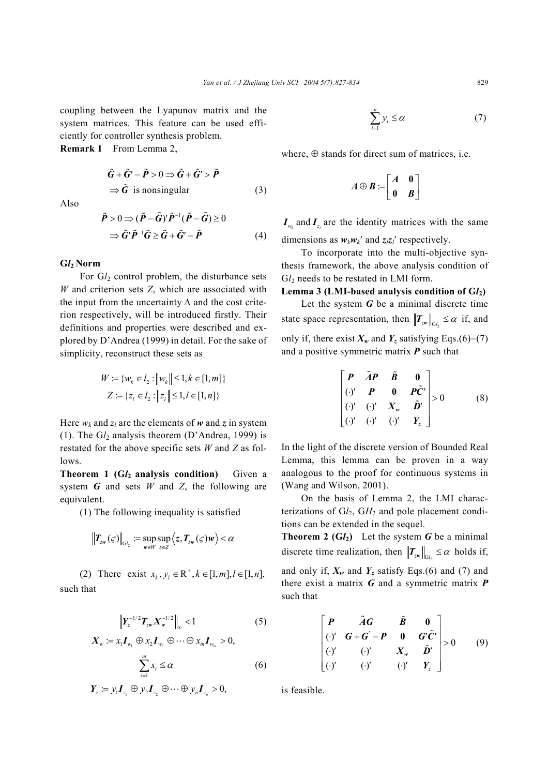coupling between the Lyapunov matrix and the system matrices. This feature can be used efficiently for controller synthesis problem.

**Remark 1** From Lemma 2,

 $\tilde{G} + \tilde{G}' - \tilde{P} > 0 \Longrightarrow \tilde{G} + \tilde{G}' > \tilde{P}$  $\Rightarrow \tilde{G}$  is nonsingular (3)

Also

$$
\tilde{P} > 0 \Rightarrow (\tilde{P} - \tilde{G})' \tilde{P}^{-1} (\tilde{P} - \tilde{G}) \ge 0
$$
  

$$
\Rightarrow \tilde{G}' \tilde{P}^{-1} \tilde{G} \ge \tilde{G} + \tilde{G}' - \tilde{P}
$$
(4)

## **G***l***2 Norm**

For  $Gl<sub>2</sub>$  control problem, the disturbance sets *W* and criterion sets *Z*, which are associated with the input from the uncertainty *∆* and the cost criterion respectively, will be introduced firstly. Their definitions and properties were described and explored by D'Andrea (1999) in detail. For the sake of simplicity, reconstruct these sets as

$$
W := \{w_k \in l_2 : ||w_k|| \le 1, k \in [1, m]\}
$$
  

$$
Z := \{z_l \in l_2 : ||z_l|| \le 1, l \in [1, n]\}
$$

Here  $w_k$  and  $z_l$  are the elements of w and z in system (1). The G*l*2 analysis theorem (D'Andrea, 1999) is restated for the above specific sets *W* and *Z* as follows.

**Theorem 1 (G***l***2 analysis condition)** Given a system *G* and sets *W* and *Z*, the following are equivalent.

(1) The following inequality is satisfied

$$
\left\|T_{zw}(\varsigma)\right\|_{\mathsf{G}_{I_2}} := \sup_{w \in W} \sup_{z \in Z} \left\langle z, T_{zw}(\varsigma)w\right\rangle < \alpha
$$

(2) There exist  $x_k, y_l \in \mathbb{R}^+, k \in [1, m], l \in [1, n],$ such that

$$
\left\|Y_{z}^{-1/2}T_{zw}X_{w}^{-1/2}\right\|_{\infty}<1
$$
\n
$$
X = xI \oplus xI \oplus \cdots \oplus xI > 0
$$
\n
$$
(5)
$$

$$
\sum_{i=1}^{m} x_i \leq \alpha \tag{6}
$$

$$
\boldsymbol{Y}_z := \boldsymbol{y}_1 \boldsymbol{I}_{z_1} \oplus \boldsymbol{y}_2 \boldsymbol{I}_{z_2} \oplus \cdots \oplus \boldsymbol{y}_n \boldsymbol{I}_{z_n} > 0,
$$

$$
\sum_{i=1}^{n} y_i \le \alpha \tag{7}
$$

where,  $\oplus$  stands for direct sum of matrices, i.e.

$$
A \oplus B := \begin{bmatrix} A & 0 \\ 0 & B \end{bmatrix}
$$

 $I_{w_k}$  and  $I_{z_i}$  are the identity matrices with the same

dimensions as  $w_k w_k'$  and  $z_i z_i'$  respectively.

To incorporate into the multi-objective synthesis framework, the above analysis condition of G $l_2$  needs to be restated in LMI form.

## **Lemma 3 (LMI-based analysis condition of G***l***2)**

Let the system *G* be a minimal discrete time state space representation, then  $||T_{\mathbf{z},w}||_{\mathbf{z}} \leq \alpha$  if, and only if, there exist  $X_w$  and  $Y_z$  satisfying Eqs.(6)–(7) and a positive symmetric matrix *P* such that

$$
\begin{bmatrix}\nP & \tilde{A}P & \tilde{B} & 0 \\
\vdots & P & 0 & P\tilde{C}' \\
\vdots & \vdots & \ddots & \tilde{D}' \\
\vdots & \vdots & \ddots & \tilde{D}'\n\end{bmatrix} > 0 \tag{8}
$$

In the light of the discrete version of Bounded Real Lemma, this lemma can be proven in a way analogous to the proof for continuous systems in (Wang and Wilson, 2001).

On the basis of Lemma 2, the LMI characterizations of  $Gl_2$ ,  $GH_2$  and pole placement conditions can be extended in the sequel.

**Theorem 2 (G** $l_2$ **)** Let the system G be a minimal discrete time realization, then  $||T_{\text{Zw}}||_{G} \leq \alpha$  holds if, and only if,  $X_w$  and  $Y_z$  satisfy Eqs.(6) and (7) and there exist a matrix *G* and a symmetric matrix *P* such that

$$
\begin{bmatrix}\nP & \tilde{A}G & \tilde{B} & 0 \\
(\cdot)' & G + G - P & 0 & G'\tilde{C}' \\
(\cdot)' & (\cdot)' & X_w & \tilde{D}' \\
(\cdot)' & (\cdot)' & (\cdot)' & Y_z\n\end{bmatrix} > 0 \tag{9}
$$

is feasible.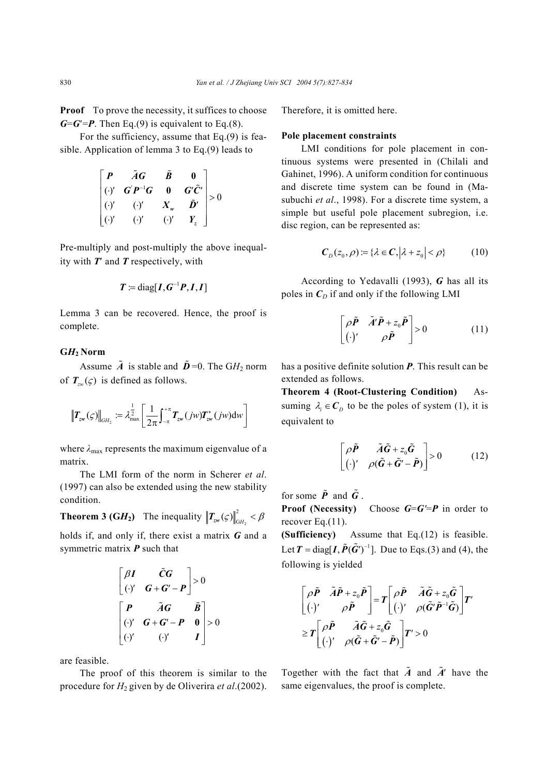**Proof** To prove the necessity, it suffices to choose  $G = G' = P$ . Then Eq.(9) is equivalent to Eq.(8).

For the sufficiency, assume that Eq.(9) is feasible. Application of lemma 3 to Eq.(9) leads to

$$
\begin{bmatrix} P & \tilde{A}G & \tilde{B} & 0 \\ (y) & G'P^{-1}G & 0 & G'\tilde{C}' \\ (y) & (y) & X_{w} & \tilde{D}' \\ (y) & (y) & (y) & Y_{z} \end{bmatrix} > 0
$$

Pre-multiply and post-multiply the above inequality with *T*′ and *T* respectively, with

$$
T := \text{diag}[I,G^{-1}P,I,I]
$$

Lemma 3 can be recovered. Hence, the proof is complete.

## **G***H***2 Norm**

Assume  $\tilde{A}$  is stable and  $\tilde{D}$  =0. The GH<sub>2</sub> norm of  $T_{\nu}(\zeta)$  is defined as follows.

$$
\left\|\boldsymbol{T}_{z\boldsymbol{w}}(\boldsymbol{\varsigma})\right\|_{GH_2} := \lambda_{\max}^{\frac{1}{2}} \left[\frac{1}{2\pi} \int_{-\pi}^{+\pi} \boldsymbol{T}_{z\boldsymbol{w}}(j\boldsymbol{w}) \boldsymbol{T}_{z\boldsymbol{w}}^*(j\boldsymbol{w}) d\boldsymbol{w}\right]
$$

where  $\lambda_{\text{max}}$  represents the maximum eigenvalue of a matrix.

The LMI form of the norm in Scherer *et al*. (1997) can also be extended using the new stability condition.

**Theorem 3 (GH<sub>2</sub>)** The inequality  $||T_{\text{zw}}(\varsigma)||_{GH_2}^2 < \beta$ 

holds if, and only if, there exist a matrix *G* and a symmetric matrix *P* such that

$$
\begin{bmatrix} \beta I & \tilde{C}G \\ \left(\cdot\right)' & G + G' - P \end{bmatrix} > 0
$$
\n
$$
\begin{bmatrix} P & \tilde{A}G & \tilde{B} \\ \left(\cdot\right)' & G + G' - P & 0 \\ \left(\cdot\right)' & \left(\cdot\right)' & I \end{bmatrix} > 0
$$

are feasible.

The proof of this theorem is similar to the procedure for *H*2 given by de Oliverira *et al*.(2002).

Therefore, it is omitted here.

## **Pole placement constraints**

LMI conditions for pole placement in continuous systems were presented in (Chilali and Gahinet, 1996). A uniform condition for continuous and discrete time system can be found in (Masubuchi *et al*., 1998). For a discrete time system, a simple but useful pole placement subregion, i.e. disc region, can be represented as:

$$
\mathbf{C}_D(z_0,\rho) = \{ \lambda \in \mathbf{C}, |\lambda + z_0| < \rho \} \tag{10}
$$

According to Yedavalli (1993), *G* has all its poles in  $C_D$  if and only if the following LMI

$$
\begin{bmatrix} \rho \tilde{P} & \tilde{A}' \tilde{P} + z_0 \tilde{P} \\ (\cdot)' & \rho \tilde{P} \end{bmatrix} > 0 \tag{11}
$$

has a positive definite solution *P*. This result can be extended as follows.

**Theorem 4 (Root-Clustering Condition)** Assuming  $\lambda_i \in \mathcal{C}_D$  to be the poles of system (1), it is equivalent to

$$
\begin{bmatrix} \rho \tilde{P} & \tilde{A}\tilde{G} + z_0 \tilde{G} \\ (\cdot)^{\prime} & \rho(\tilde{G} + \tilde{G}' - \tilde{P}) \end{bmatrix} > 0 \quad (12)
$$

for some  $\tilde{P}$  and  $\tilde{G}$ .

**Proof (Necessity)** Choose *G*=*G'*=*P* in order to recover Eq.(11).

**(Sufficiency)** Assume that Eq.(12) is feasible. Let  $T = \text{diag}[ I, \tilde{P}(\tilde{G}^{\prime})^{-1}]$ . Due to Eqs.(3) and (4), the following is yielded

$$
\begin{bmatrix}\n\rho \tilde{P} & \tilde{A}\tilde{P} + z_0 \tilde{P} \\
(\cdot)^{\prime} & \rho \tilde{P}\n\end{bmatrix} = T \begin{bmatrix}\n\rho \tilde{P} & \tilde{A}\tilde{G} + z_0 \tilde{G} \\
(\cdot)^{\prime} & \rho(\tilde{G}'\tilde{P}^{-1}\tilde{G})\n\end{bmatrix} T'
$$
\n
$$
\geq T \begin{bmatrix}\n\rho \tilde{P} & \tilde{A}\tilde{G} + z_0 \tilde{G} \\
(\cdot)^{\prime} & \rho(\tilde{G} + \tilde{G}' - \tilde{P})\n\end{bmatrix} T' > 0
$$

Together with the fact that  $\tilde{A}$  and  $\tilde{A}'$  have the same eigenvalues, the proof is complete.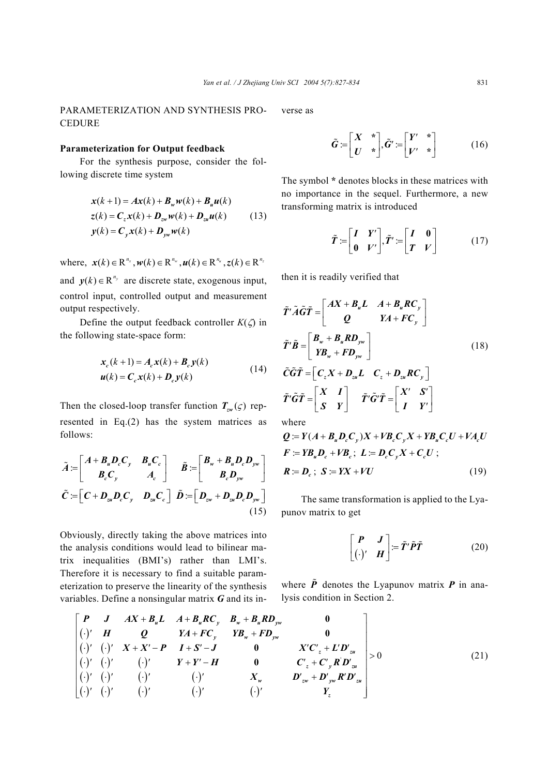# PARAMETERIZATION AND SYNTHESIS PRO-**CEDURE**

## **Parameterization for Output feedback**

For the synthesis purpose, consider the following discrete time system

$$
\mathbf{x}(k+1) = A\mathbf{x}(k) + B_w \mathbf{w}(k) + B_u \mathbf{u}(k)
$$
  
\n
$$
\mathbf{z}(k) = C_z \mathbf{x}(k) + D_{zw} \mathbf{w}(k) + D_{zu} \mathbf{u}(k)
$$
 (13)  
\n
$$
\mathbf{y}(k) = C_y \mathbf{x}(k) + D_{yw} \mathbf{w}(k)
$$

where,  $\mathbf{x}(k) \in \mathbb{R}^{n_x}$ ,  $\mathbf{w}(k) \in \mathbb{R}^{n_w}$ ,  $\mathbf{u}(k) \in \mathbb{R}^{n_u}$ ,  $\mathbf{z}(k) \in \mathbb{R}^{n_z}$ 

and  $y(k) \in \mathbb{R}^{n_y}$  are discrete state, exogenous input, control input, controlled output and measurement output respectively.

Define the output feedback controller  $K(\zeta)$  in the following state-space form:

$$
\mathbf{x}_c(k+1) = A_c \mathbf{x}(k) + \mathbf{B}_c \mathbf{y}(k)
$$
  

$$
\mathbf{u}(k) = \mathbf{C}_c \mathbf{x}(k) + \mathbf{D}_c \mathbf{y}(k)
$$
 (14)

Then the closed-loop transfer function  $T_{zw}(\varsigma)$  represented in Eq.(2) has the system matrices as follows:

$$
\tilde{A} := \begin{bmatrix} A + B_u D_c C_y & B_u C_c \\ B_c C_y & A_c \end{bmatrix} \quad \tilde{B} := \begin{bmatrix} B_w + B_u D_c D_{yw} \\ B_c D_{yw} \end{bmatrix}
$$

$$
\tilde{C} := \begin{bmatrix} C + D_{zu} D_c C_y & D_{zu} C_c \end{bmatrix} \quad \tilde{D} := \begin{bmatrix} D_{zw} + D_{zu} D_c D_{yw} \end{bmatrix}
$$
(15)

Obviously, directly taking the above matrices into the analysis conditions would lead to bilinear matrix inequalities (BMI's) rather than LMI's. Therefore it is necessary to find a suitable parameterization to preserve the linearity of the synthesis variables. Define a nonsingular matrix *G* and its inverse as

$$
\tilde{G} := \begin{bmatrix} X & * \\ U & * \end{bmatrix}, \tilde{G}' := \begin{bmatrix} Y' & * \\ V' & * \end{bmatrix} \tag{16}
$$

The symbol **\*** denotes blocks in these matrices with no importance in the sequel. Furthermore, a new transforming matrix is introduced

$$
\tilde{T} := \begin{bmatrix} I & Y' \\ 0 & V' \end{bmatrix}, \tilde{T}' := \begin{bmatrix} I & 0 \\ T & V \end{bmatrix}
$$
 (17)

then it is readily verified that

$$
\tilde{T}'\tilde{A}\tilde{G}\tilde{T} = \begin{bmatrix} AX + B_uL & A + B_uRC_y \\ Q & YA + FC_y \end{bmatrix}
$$
\n
$$
\tilde{T}'\tilde{B} = \begin{bmatrix} B_w + B_uRD_{yw} \\ YB_w + FD_{yw} \end{bmatrix}
$$
\n
$$
\tilde{C}\tilde{G}\tilde{T} = \begin{bmatrix} C_xX + D_{uu}L & C_z + D_{uu}RC_y \end{bmatrix}
$$
\n
$$
\tilde{T}'\tilde{G}\tilde{T} = \begin{bmatrix} X & I \\ S & Y \end{bmatrix} \tilde{T}'\tilde{G}'\tilde{T} = \begin{bmatrix} X' & S' \\ I & Y' \end{bmatrix}
$$
\n(18)

where

$$
Q = Y(A + BuDcCy)X + VBcCyX + YBuCcU + VAcU
$$
  
\n
$$
F = YBuDc + VBc; L = DcCyX + CcU;
$$
  
\n
$$
R = Dc; S = YX + VU
$$
 (19)

The same transformation is applied to the Lyapunov matrix to get

$$
\begin{bmatrix} \boldsymbol{P} & \boldsymbol{J} \\ (\cdot)^{\prime} & \boldsymbol{H} \end{bmatrix} = \tilde{\boldsymbol{T}}^{\prime} \tilde{\boldsymbol{P}} \tilde{\boldsymbol{T}} \qquad (20)
$$

where  $\tilde{P}$  denotes the Lyapunov matrix  $P$  in analysis condition in Section 2.

$$
\begin{bmatrix}\nP & J & AX + B_u L & A + B_u R C_y & B_w + B_u R D_{yw} & 0 \\
(\cdot)' & H & Q & YA + F C_y & Y B_w + F D_{yw} & 0 \\
(\cdot)' & (\cdot)' & X + X' - P & I + S' - J & 0 & X' C_z + L' D'_w \\
(\cdot)' & (\cdot)' & (\cdot)' & Y + Y' - H & 0 & C_z + C_y R' D'_w \\
(\cdot)' & (\cdot)' & (\cdot)' & (\cdot)' & \cdot)' & X_w & D'_{zw} + D'_{yw} R' D'_w \\
(\cdot)' & (\cdot)' & (\cdot)' & (\cdot)' & (\cdot)' & \cdot)' & X_w & D'_w + D'_y w R' D'_w\n\end{bmatrix} > 0
$$
\n
$$
(21)
$$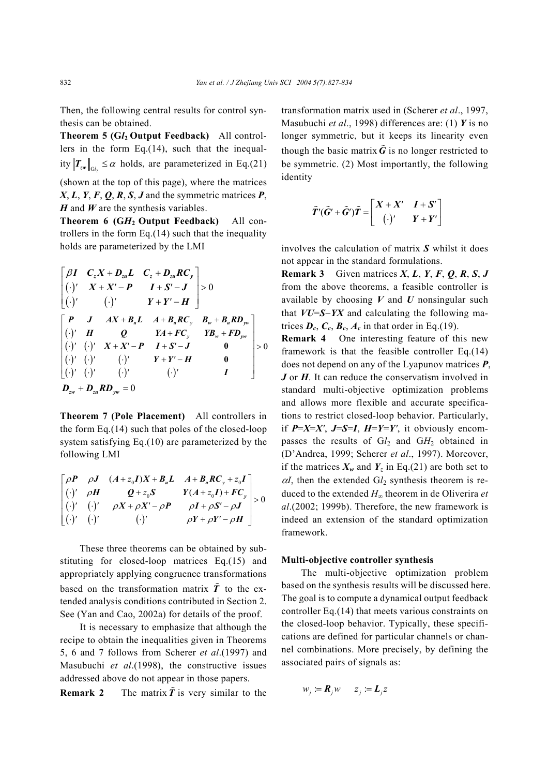Then, the following central results for control synthesis can be obtained.

**Theorem 5 (G***l***2 Output Feedback)** All controllers in the form Eq.(14), such that the inequality  $T_{\text{ZW}}\|_{\text{C}l} \leq \alpha$  holds, are parameterized in Eq.(21)

(shown at the top of this page), where the matrices *X*, *L*, *Y*, *F*, *Q*, *R*, *S*, *J* and the symmetric matrices *P*, *H* and *W* are the synthesis variables.

**Theorem 6 (G***H***2 Output Feedback)** All controllers in the form Eq. $(14)$  such that the inequality holds are parameterized by the LMI

$$
\begin{bmatrix}\n\beta I & C_z X + D_{zu} L & C_z + D_{zu} R C_y \\
(\cdot)^{\prime} & X + X^{\prime} - P & I + S^{\prime} - J \\
(\cdot)^{\prime} & (\cdot)^{\prime} & Y + Y^{\prime} - H\n\end{bmatrix} > 0
$$
\n
$$
\begin{bmatrix}\nP & J & AX + B_u L & A + B_u R C_y & B_w + B_u R D_{yw} \\
(\cdot)^{\prime} & H & Q & YA + FC_y & Y B_w + FD_{yw} \\
(\cdot)^{\prime} & (\cdot)^{\prime} & X + X^{\prime} - P & I + S^{\prime} - J & 0 \\
(\cdot)^{\prime} & (\cdot)^{\prime} & (\cdot)^{\prime} & Y + Y^{\prime} - H & 0 \\
(\cdot)^{\prime} & (\cdot)^{\prime} & (\cdot)^{\prime} & (\cdot)^{\prime} & I\n\end{bmatrix} > 0
$$
\n
$$
D_{zw} + D_{zu} R D_{yw} = 0
$$

**Theorem 7 (Pole Placement)** All controllers in the form Eq.(14) such that poles of the closed-loop system satisfying Eq.(10) are parameterized by the following LMI

$$
\begin{bmatrix}\n\rho P & \rho J & (A+z_0 I)X + B_u L & A+B_u R C_y + z_0 I \\
(\cdot)' & \rho H & Q+z_0 S & Y(A+z_0 I) + F C_y \\
(\cdot)' & (\cdot)' & \rho X + \rho X' - \rho P & \rho I + \rho S' - \rho J \\
(\cdot)' & (\cdot)' & (\cdot)' & \rho Y + \rho Y' - \rho H\n\end{bmatrix} > 0
$$

These three theorems can be obtained by substituting for closed-loop matrices Eq.(15) and appropriately applying congruence transformations based on the transformation matrix  $\tilde{T}$  to the extended analysis conditions contributed in Section 2. See (Yan and Cao, 2002a) for details of the proof.

It is necessary to emphasize that although the recipe to obtain the inequalities given in Theorems 5, 6 and 7 follows from Scherer *et al*.(1997) and Masubuchi *et al*.(1998), the constructive issues addressed above do not appear in those papers.

**Remark 2** The matrix  $\tilde{T}$  is very similar to the

transformation matrix used in (Scherer *et al*., 1997, Masubuchi *et al*., 1998) differences are: (1) *Y* is no longer symmetric, but it keeps its linearity even though the basic matrix  $\tilde{G}$  is no longer restricted to be symmetric. (2) Most importantly, the following identity

$$
\tilde{T}'(\tilde{G}' + \tilde{G}')\tilde{T} = \begin{bmatrix} X + X' & I + S' \\ (\cdot)' & Y + Y' \end{bmatrix}
$$

involves the calculation of matrix *S* whilst it does not appear in the standard formulations.

**Remark 3** Given matrices *X*, *L*, *Y*, *F*, *Q*, *R*, *S*, *J* from the above theorems, a feasible controller is available by choosing *V* and *U* nonsingular such that *VU*=*S*−*YX* and calculating the following matrices  $D_c$ ,  $C_c$ ,  $B_c$ ,  $A_c$  in that order in Eq.(19).

**Remark 4** One interesting feature of this new framework is that the feasible controller Eq.(14) does not depend on any of the Lyapunov matrices *P*, *J* or *H*. It can reduce the conservatism involved in standard multi-objective optimization problems and allows more flexible and accurate specifications to restrict closed-loop behavior. Particularly, if  $P=X=X'$ ,  $J=S=I$ ,  $H=Y=Y'$ , it obviously encompasses the results of G*l*2 and G*H*2 obtained in (D'Andrea, 1999; Scherer *et al*., 1997). Moreover, if the matrices  $X_w$  and  $Y_z$  in Eq.(21) are both set to  $\alpha$ *I*, then the extended  $GI_2$  synthesis theorem is reduced to the extended *H*∞ theorem in de Oliverira *et al*.(2002; 1999b). Therefore, the new framework is indeed an extension of the standard optimization framework.

#### **Multi-objective controller synthesis**

The multi-objective optimization problem based on the synthesis results will be discussed here. The goal is to compute a dynamical output feedback controller Eq.(14) that meets various constraints on the closed-loop behavior. Typically, these specifications are defined for particular channels or channel combinations. More precisely, by defining the associated pairs of signals as:

$$
w_j := \mathbf{R}_j w \qquad z_j := L_j z
$$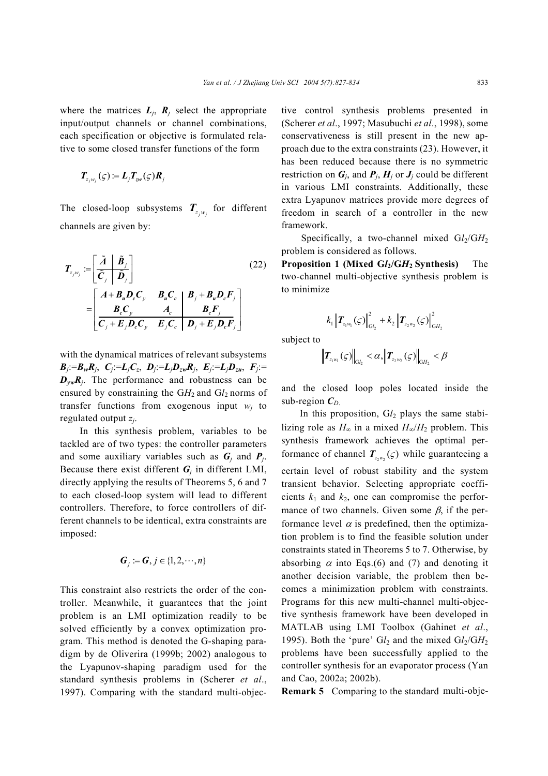where the matrices  $L_j$ ,  $R_j$  select the appropriate input/output channels or channel combinations, each specification or objective is formulated relative to some closed transfer functions of the form

$$
T_{z_jw_j}(\varsigma)=L_jT_{zw}(\varsigma)R_j
$$

The closed-loop subsystems  $T_{z_i w_i}$  for different channels are given by:

$$
T_{z_j w_j} := \left[ \frac{\tilde{A} \mid \tilde{B}_j}{\tilde{C}_j \mid \tilde{D}_j} \right]
$$
\n
$$
= \left[ \frac{A + B_u D_c C_y}{B_c C_y} \frac{B_u C_c}{A_c} \mid \frac{B_j + B_u D_c F_j}{B_c F_j} \right]
$$
\n
$$
= \left[ \frac{B_c C_y}{C_j + E_j D_c C_y} \frac{A_c}{E_j C_c} \mid \frac{B_j + E_j D_c F_j}{D_j + E_j D_c F_j} \right]
$$
\n(22)

with the dynamical matrices of relevant subsystems  $B_j := B_w R_j$ ,  $C_j := L_j C_z$ ,  $D_j := L_j D_{zw} R_j$ ,  $E_j := L_j D_{zu}$ ,  $F_j :=$  $D_{vw}R_i$ . The performance and robustness can be ensured by constraining the  $GH_2$  and  $Gl_2$  norms of transfer functions from exogenous input  $w_i$  to regulated output *zj*.

In this synthesis problem, variables to be tackled are of two types: the controller parameters and some auxiliary variables such as  $G_i$  and  $P_j$ . Because there exist different  $G_i$  in different LMI, directly applying the results of Theorems 5, 6 and 7 to each closed-loop system will lead to different controllers. Therefore, to force controllers of different channels to be identical, extra constraints are imposed:

$$
\boldsymbol{G}_j := \boldsymbol{G}, j \in \{1, 2, \cdots, n\}
$$

This constraint also restricts the order of the controller. Meanwhile, it guarantees that the joint problem is an LMI optimization readily to be solved efficiently by a convex optimization program. This method is denoted the G-shaping paradigm by de Oliverira (1999b; 2002) analogous to the Lyapunov-shaping paradigm used for the standard synthesis problems in (Scherer *et al*., 1997). Comparing with the standard multi-objective control synthesis problems presented in (Scherer *et al*., 1997; Masubuchi *et al*., 1998), some conservativeness is still present in the new approach due to the extra constraints (23). However, it has been reduced because there is no symmetric restriction on  $G_i$ , and  $P_i$ ,  $H_j$  or  $J_j$  could be different in various LMI constraints. Additionally, these extra Lyapunov matrices provide more degrees of freedom in search of a controller in the new framework.

Specifically, a two-channel mixed  $Gl<sub>2</sub>/GH<sub>2</sub>$ problem is considered as follows.

**Proposition 1 (Mixed G***l***2/G***H***2 Synthesis)** The two-channel multi-objective synthesis problem is to minimize

$$
k_1 \left\| \mathbf{T}_{z_1 w_1}(\varsigma) \right\|_{\mathrm{G}_{z_2}}^2 + k_2 \left\| \mathbf{T}_{z_2 w_2}(\varsigma) \right\|_{\mathrm{G}_{z_2}}^2
$$

subject to

$$
\left\|T_{z_1w_1}(\varsigma)\right\|_{\mathsf{G}l_2} < \alpha, \left\|T_{z_2w_2}(\varsigma)\right\|_{\mathsf{G}H_2} < \beta
$$

and the closed loop poles located inside the sub-region  $C_D$ 

In this proposition,  $Gl<sub>2</sub>$  plays the same stabilizing role as  $H_{\infty}$  in a mixed  $H_{\infty}/H_2$  problem. This synthesis framework achieves the optimal performance of channel  $T_{z,w_2}(\zeta)$  while guaranteeing a certain level of robust stability and the system transient behavior. Selecting appropriate coefficients  $k_1$  and  $k_2$ , one can compromise the performance of two channels. Given some  $\beta$ , if the performance level  $\alpha$  is predefined, then the optimization problem is to find the feasible solution under constraints stated in Theorems 5 to 7. Otherwise, by absorbing  $\alpha$  into Eqs.(6) and (7) and denoting it another decision variable, the problem then becomes a minimization problem with constraints. Programs for this new multi-channel multi-objective synthesis framework have been developed in MATLAB using LMI Toolbox (Gahinet *et al*., 1995). Both the 'pure'  $Gl_2$  and the mixed  $Gl_2/GH_2$ problems have been successfully applied to the controller synthesis for an evaporator process (Yan and Cao, 2002a; 2002b).

**Remark 5** Comparing to the standard multi-obje-